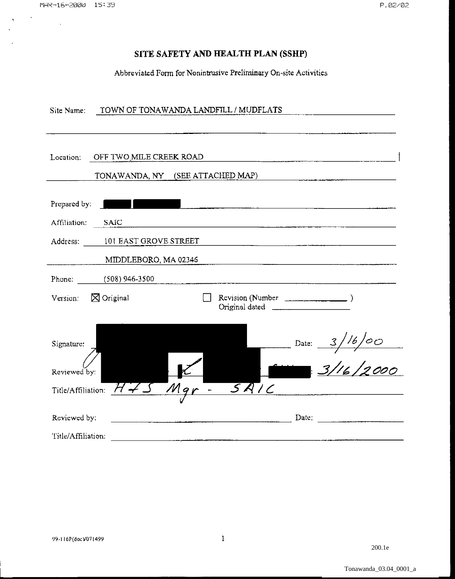$\sim 10$ 

 $\ddot{\phantom{1}}$ 

 $\Lambda^+$ 

 $\ddot{\phantom{0}}$ 

# **SITE SAFETY AND HEALTH PLAN (SSHP)**

Abbreviated Form for Nonintrusive Preliminary On-site Activities

| TOWN OF TONAWANDA LANDFILL / MUDFLATS<br>Site Name:                      |
|--------------------------------------------------------------------------|
| OFF TWO MILE CREEK ROAD<br>Location.<br>TONAWANDA, NY (SEE ATTACHED MAP) |
| Prepared by:                                                             |
| Affiliation:<br><b>SAIC</b>                                              |
| Address: 101 EAST GROVE STREET                                           |
| MIDDLEBORO, MA 02346                                                     |
| Phone: (508) 946-3500                                                    |
| Version: $\boxtimes$ Original<br>Reviewation (Number                     |
| Signature:                                                               |
| Date: $3/16/00$<br>3/16/2000<br>Reviewed by:                             |
| SRIC<br>Title/Affiliation:                                               |
| Reviewed by:<br>Date:                                                    |
| Title/Affiliation:                                                       |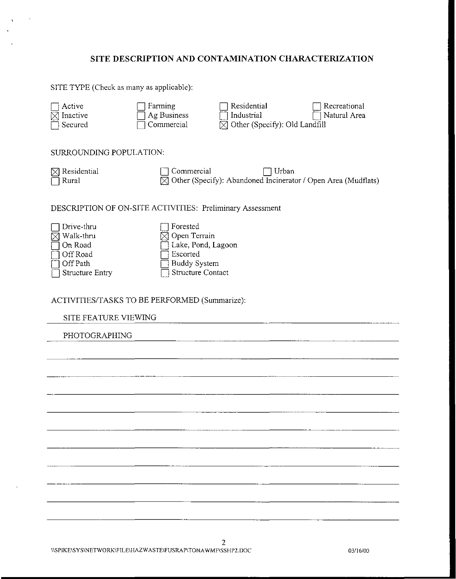# **SITE DESCRIPTION AND CONTAMINATION CHARACTERIZATION**

SITE TYPE (Check as many as applicable):

 $\mathbf{I}$ 

| Active<br>Inactive<br>Secured                                                 | Farming<br>Ag Business<br>Commercial                                                                          | Residential<br>Industrial<br>Other (Specify): Old Landfill             | Recreational<br>Natural Area |
|-------------------------------------------------------------------------------|---------------------------------------------------------------------------------------------------------------|------------------------------------------------------------------------|------------------------------|
| SURROUNDING POPULATION:                                                       |                                                                                                               |                                                                        |                              |
| Residential<br>Rural                                                          | Commercial<br>M                                                                                               | Urban<br>Other (Specify): Abandoned Incinerator / Open Area (Mudflats) |                              |
|                                                                               | DESCRIPTION OF ON-SITE ACTIVITIES: Preliminary Assessment                                                     |                                                                        |                              |
| Drive-thru<br>Walk-thru<br>On Road<br>Off Road<br>Off Path<br>Structure Entry | Forested<br>Open Terrain<br>Lake, Pond, Lagoon<br>Escorted<br><b>Buddy System</b><br><b>Structure Contact</b> |                                                                        |                              |
|                                                                               | ACTIVITIES/TASKS TO BE PERFORMED (Summarize):                                                                 |                                                                        |                              |
| SITE FEATURE VIEWING                                                          |                                                                                                               |                                                                        |                              |
| PHOTOGRAPHING                                                                 |                                                                                                               |                                                                        |                              |
|                                                                               |                                                                                                               |                                                                        |                              |
|                                                                               |                                                                                                               |                                                                        |                              |
|                                                                               |                                                                                                               |                                                                        |                              |
|                                                                               |                                                                                                               |                                                                        |                              |
|                                                                               |                                                                                                               |                                                                        |                              |
|                                                                               |                                                                                                               |                                                                        |                              |
|                                                                               |                                                                                                               |                                                                        |                              |
|                                                                               |                                                                                                               |                                                                        |                              |
|                                                                               |                                                                                                               |                                                                        |                              |
|                                                                               |                                                                                                               |                                                                        |                              |
|                                                                               |                                                                                                               |                                                                        |                              |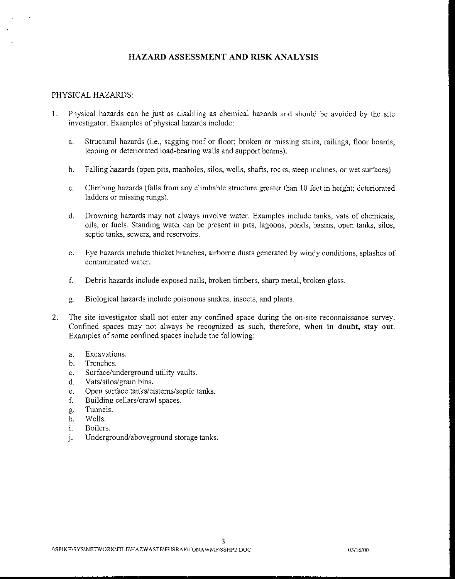# **HAZARD ASSESSMENT AND RISK ANALYSIS**

#### PHYSICAL HAZARDS:

- I. Physical hazards can be just as disabling as chemical hazards and should be avoided by the site investigator. Examples of physical hazards include:
	- a. Structural hazards (i.e., sagging roof or floor; broken or missing stairs, railings, floor boards, leaning or deteriorated load-bearing walls and support beams).
	- b. Falling hazards (open pits, manholes, silos, wells, shafts, rocks, steep inclines, or wet surfaces).
	- c. Climbing hazards (falls from any climbable structure greater than 10 feet in height; deteriorated ladders or missing rungs).
	- d. Drowning hazards may not always involve water. Examples include tanks, vats of chemicals, oils, or fuels. Standing water can be present in pits, lagoons, ponds, basins, open tanks, silos, **septic tanks, sewers, and reservoirs.**
	- e. Eye hazards include thicket branches, airborne dusts generated by windy conditions, splashes of contaminated water.
	- f. Debris hazards include exposed nails, broken timbers, sharp metal, broken glass.
	- g. Biological hazards include poisonous snakes, insects, and plants.
- 2. The site investigator shall not enter any confined space during the on-site reconnaissance survey. Confined spaces may not always be recognized as such, therefore, **when in doubt, stay out.**  Examples of some confined spaces include the following:
	- a. Excavations.
	- b. Trenches.
	- c. Surface/underground utility vaults.
	- d. Vats/silos/grain bins.
	- e. Open surface tanks/cisterns/septic tanks.
	- f. Building cellars/crawl spaces.
	- g. Tunnels.
	- h. Wells.
	- i. Boilers.
	- j. Underground/aboveground storage tanks.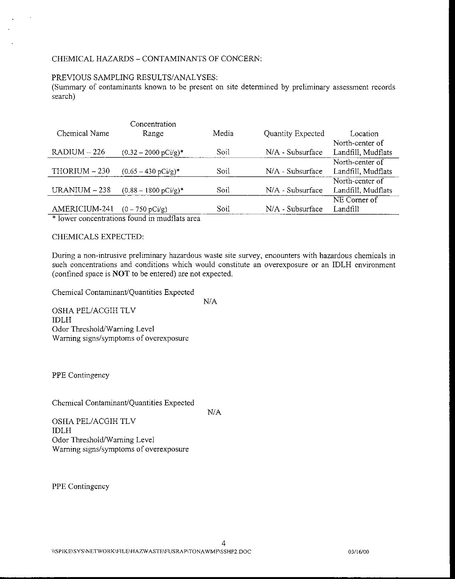# CHEMICAL HAZARDS- CONTAMINANTS OF CONCERN:

### PREVIOUS SAMPLING RESULTS/ANALYSES:

(Summary of contaminants known to be present on site determined by preliminary assessment records search)

|                | Concentration                   |       |                   |                    |
|----------------|---------------------------------|-------|-------------------|--------------------|
| Chemical Name  | Range                           | Media | Quantity Expected | Location           |
|                |                                 |       |                   | North-center of    |
| $RADIUM - 226$ | $(0.32 - 2000 \text{ pCi/g})^*$ | Soil  | N/A - Subsurface  | Landfill, Mudflats |
|                |                                 |       |                   | North-center of    |
| THORIUM - 230  | $(0.65 - 430 \text{ pCy/g})^*$  | Soil  | N/A - Subsurface  | Landfill, Mudflats |
|                |                                 |       |                   | North-center of    |
| URANIUM $-238$ | $(0.88 - 1800 \text{ pCi/g})^*$ | Soil  | N/A - Subsurface  | Landfill, Mudflats |
|                |                                 |       |                   | NE Comer of        |
| AMERICIUM-241  | $(0 - 750 \text{ pCi/g})$       | Soil  | N/A - Subsurface  | Landfill           |

\* lower concentrations found in mudflats area

#### CHEMICALS EXPECTED:

During a non-intrusive preliminary hazardous waste site survey, encounters with hazardous chemicals in such concentrations and conditions which would constitute an overexposure or an IDLH environment (confined space is **NOT** to be entered) are not expected.

Chemical Contaminant/Quantities Expected

N/A

OSHA PEL/ACGIH TLV IDLH Odor Threshold/Warning Level Warning signs/symptoms of overexposure

PPE Contingency

Chemical Contaminant/Quantities Expected

N/A

OSHA PEL/ACGIH TLV IDLH Odor Threshold/Warning Level Warning signs/symptoms of overexposure

PPE Contingency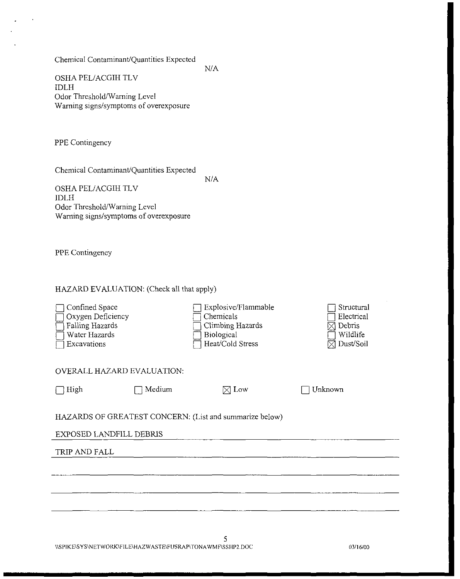Chemical Contaminant/Quantities Expected

N/A

OSHA PEL/ACGIH TLV IDLH Odor Threshold/Warning Level Warning signs/symptoms of overexposure

PPE Contingency

Chemical Contaminant/Quantities Expected

N/A

OSHA PEL/ACGIH TLV IDLH Odor Threshold/Warning Level Warning signs/symptoms of overexposure

PPE Contingency

#### HAZARD EVALUATION: (Check all that apply)

| Confined Space<br>Oxygen Deficiency<br>Falling Hazards<br>Water Hazards<br>Excavations |        | Explosive/Flammable<br>Chemicals<br>Climbing Hazards<br>Biological<br>Heat/Cold Stress | Structural<br>Electrical<br>Deoris<br>Wildlife<br>Dust/Soil |  |
|----------------------------------------------------------------------------------------|--------|----------------------------------------------------------------------------------------|-------------------------------------------------------------|--|
| <b>OVERALL HAZARD EVALUATION:</b>                                                      |        |                                                                                        |                                                             |  |
| High                                                                                   | Medium | $\boxtimes$ Low                                                                        | Unknown                                                     |  |
| HAZARDS OF GREATEST CONCERN: (List and summarize below)<br>EXPOSED LANDFILL DEBRIS     |        |                                                                                        |                                                             |  |
| TRIP AND FALL                                                                          |        |                                                                                        |                                                             |  |
|                                                                                        |        |                                                                                        |                                                             |  |
|                                                                                        |        |                                                                                        |                                                             |  |
|                                                                                        |        |                                                                                        |                                                             |  |
|                                                                                        |        |                                                                                        |                                                             |  |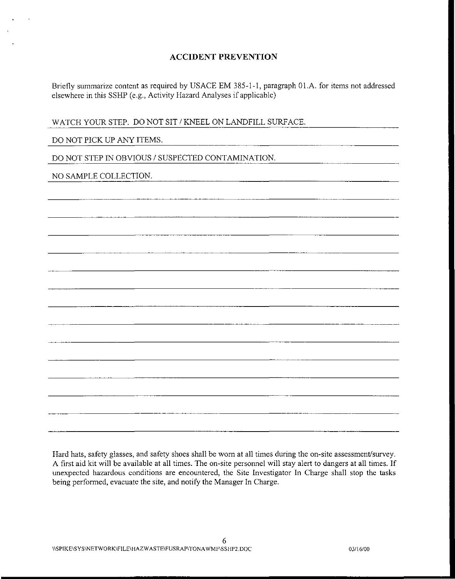# **ACCIDENT PREVENTION**

Briefly summarize content as required by USACE EM 385-1-1, paragraph 01.A. for items not addressed elsewhere in this SSHP (e.g., Activity Hazard Analyses if applicable)

WATCH YOUR STEP. DO NOT SIT / KNEEL ON LANDFILL SURFACE.

# DO NOT PICK UP ANY ITEMS.

DO NOT STEP IN OBVIOUS / SUSPECTED CONTAMINATION.

# NO SAMPLE COLLECTION.

Hard hats, safety glasses, and safety shoes shall be worn at all times during the on-site assessment/survey. A first aid kit will be available at all times. The on-site personnel will stay alert to dangers at all times. If unexpected hazardous conditions are encountered, the Site Investigator In Charge shall stop the tasks being performed, evacuate the site, and notify the Manager In Charge.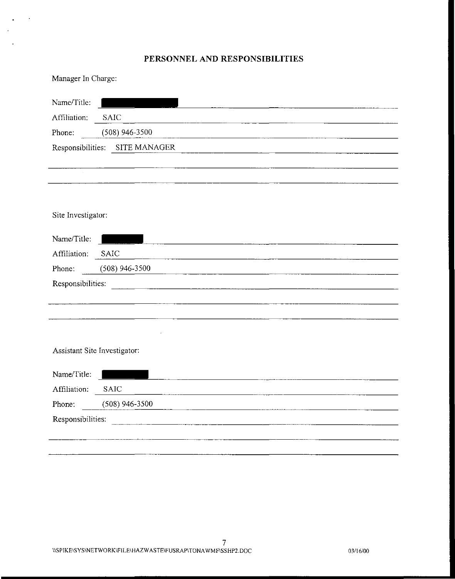# **PERSONNEL AND RESPONSIBILITIES**

| Manager In Charge: |  |  |
|--------------------|--|--|
|--------------------|--|--|

 $\hat{\mathbf{z}}$ 

 $\mathcal{A}$  $\sim$   $\ddot{\phantom{a}}$ 

| Name/Title:                                                          |                                                                                                                       |  |  |
|----------------------------------------------------------------------|-----------------------------------------------------------------------------------------------------------------------|--|--|
| Affiliation:                                                         | <b>SAIC</b>                                                                                                           |  |  |
| Phone:                                                               | $(508)$ 946-3500                                                                                                      |  |  |
|                                                                      | Responsibilities: SITE MANAGER                                                                                        |  |  |
|                                                                      |                                                                                                                       |  |  |
|                                                                      |                                                                                                                       |  |  |
|                                                                      |                                                                                                                       |  |  |
|                                                                      |                                                                                                                       |  |  |
| Site Investigator:                                                   |                                                                                                                       |  |  |
| Name/Title:                                                          | <u> 1980 - Jan Barbara Barbara, maso a popular establecidad e a provincia de la provincia de la provincia de la p</u> |  |  |
| Affiliation:                                                         | <b>SAIC</b>                                                                                                           |  |  |
| Phone:                                                               | $(508)$ 946-3500                                                                                                      |  |  |
| Responsibilities:                                                    |                                                                                                                       |  |  |
|                                                                      |                                                                                                                       |  |  |
|                                                                      |                                                                                                                       |  |  |
|                                                                      |                                                                                                                       |  |  |
|                                                                      | Assistant Site Investigator:                                                                                          |  |  |
|                                                                      |                                                                                                                       |  |  |
| Name/Title:                                                          |                                                                                                                       |  |  |
| Affiliation:                                                         | <b>SAIC</b>                                                                                                           |  |  |
| Phone:                                                               | $(508)$ 946-3500                                                                                                      |  |  |
| Responsibilities:<br><u> 1980 - Andrew Amerikaanse kommunister (</u> |                                                                                                                       |  |  |
|                                                                      |                                                                                                                       |  |  |
|                                                                      |                                                                                                                       |  |  |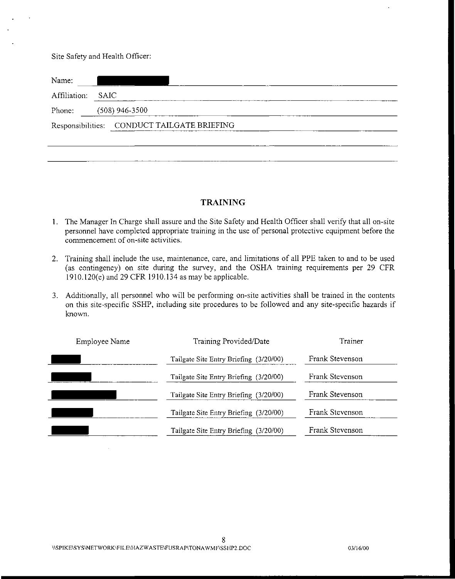Site Safety and Health Officer:

| Name:             |                                             |  |  |  |
|-------------------|---------------------------------------------|--|--|--|
| Affiliation: SAIC |                                             |  |  |  |
|                   | Phone: (508) 946-3500                       |  |  |  |
|                   | Responsibilities: CONDUCT TAILGATE BRIEFING |  |  |  |
|                   |                                             |  |  |  |

# **TRAINING**

- 1. The Manager In Charge shall assure and the Site Safety and Health Officer shall verify that all on-site personnel have completed appropriate training in the use of personal protective equipment before the commencement of on-site activities.
- 2. Training shall include the use, maintenance, care, and limitations of all PPE taken to and to be used (as contingency) on site during the survey, and the OSHA training requirements per 29 CFR 1910.120(e) and 29 CFR 1910.134 as may be applicable.
- 3. Additionally, all personnel who will be performing on-site activities shall be trained in the contents on this site-specific SSHP, including site procedures to be followed and any site-specific hazards if known.

| Employee Name | Training Provided/Date                 | Trainer         |
|---------------|----------------------------------------|-----------------|
|               | Tailgate Site Entry Briefing (3/20/00) | Frank Stevenson |
|               | Tailgate Site Entry Briefing (3/20/00) | Frank Stevenson |
|               | Tailgate Site Entry Briefing (3/20/00) | Frank Stevenson |
|               | Tailgate Site Entry Briefing (3/20/00) | Frank Stevenson |
|               | Tailgate Site Entry Briefing (3/20/00) | Frank Stevenson |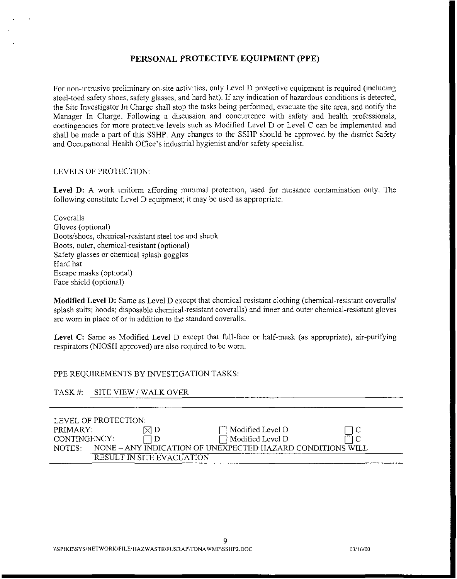## **PERSONAL PROTECTIVE EQUIPMENT (PPE)**

For non-intrusive preliminary on-site activities, only Level D protective equipment is required (including steel-toed safety shoes, safety glasses, and hard hat). If any indication of hazardous conditions is detected, the Site Investigator In Charge shall stop the tasks being performed, evacuate the site area, and notify the Manager In Charge. Following a discussion and concurrence with safety and health professionals, contingencies for more protective levels such as Modified Level D or Level C can be implemented and shall be made a part of this SSHP. Any changes to the SSHP should be approved by the district Safety and Occupational Health Office's industrial hygienist and/or safety specialist.

#### LEVELS OF PROTECTION:

Level D: A work uniform affording minimal protection, used for nuisance contamination only. The following constitute Level D equipment; it may be used as appropriate.

Coveralls Gloves (optional) Boots/shoes, chemical-resistant steel toe and shank Boots, outer, chemical-resistant (optional) Safety glasses or chemical splash goggles Hard hat Escape masks (optional) Face shield (optional)

**Modified Level D:** Same as Level D except that chemical-resistant clothing (chemical-resistant coveralls/ splash suits; hoods; disposable chemical-resistant coveralls) and inner and outer chemical-resistant gloves are worn in place of or in addition to the standard coveralls.

**Level** C: Same as Modified Level D except that full-face or half-mask (as appropriate), air-purifying respirators (NIOSH approved) are also required to be worn.

#### PPE REQUIREMENTS BY INVESTIGATION TASKS:

| TASK #:      | SITE VIEW / WALK OVER |                           |                                                            |      |
|--------------|-----------------------|---------------------------|------------------------------------------------------------|------|
|              |                       |                           |                                                            |      |
|              | LEVEL OF PROTECTION:  |                           |                                                            |      |
| PRIMARY:     |                       | $\times 1$ D              | Modified Level D                                           | - LC |
| CONTINGENCY: |                       |                           | Modified Level D                                           |      |
| NOTES:       |                       |                           | NONE - ANY INDICATION OF UNEXPECTED HAZARD CONDITIONS WILL |      |
|              |                       | RESULT IN SITE EVACUATION |                                                            |      |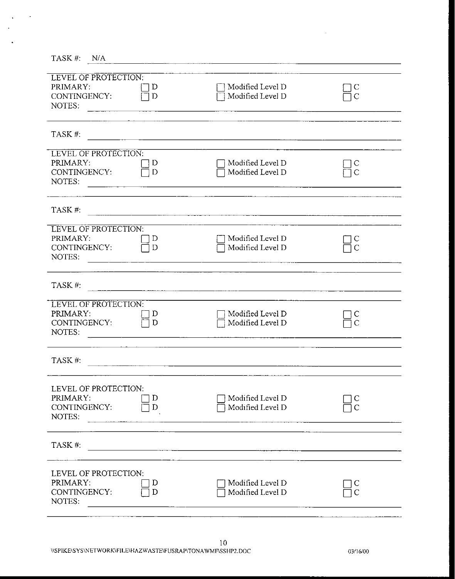| TASK #:<br>N/A                                                    |        |                                      |                   |
|-------------------------------------------------------------------|--------|--------------------------------------|-------------------|
| LEVEL OF PROTECTION:<br>PRIMARY:<br>CONTINGENCY:<br>NOTES:        | D<br>D | Modified Level D<br>Modified Level D | C<br>Ċ            |
| TASK #:                                                           |        |                                      |                   |
| LEVEL OF PROTECTION:<br>PRIMARY:<br>CONTINGENCY:<br>NOTES:        | D<br>D | Modified Level D<br>Modified Level D |                   |
| TASK #.                                                           |        |                                      |                   |
| <b>LEVEL OF PROTECTION:</b><br>PRIMARY:<br>CONTINGENCY:<br>NOTES: | D<br>D | Modified Level D<br>Modified Level D | $\overline{C}$    |
| TASK#:                                                            |        |                                      |                   |
| LEVEL OF PROTECTION:<br>PRIMARY:<br>CONTINGENCY:<br>NOTES:        | D<br>D | Modified Level D<br>Modified Level D |                   |
| TASK #:                                                           |        |                                      |                   |
| LEVEL OF PROTECTION:<br>PRIMARY:<br>CONTINGENCY:<br>NOTES:        | D<br>D | Modified Level D<br>Modified Level D | C<br>$\mathsf{C}$ |
| TASK #:                                                           |        |                                      |                   |
| LEVEL OF PROTECTION:<br>PRIMARY:<br>CONTINGENCY:<br>NOTES:        | D<br>D | Modified Level D<br>Modified Level D |                   |

 $\ddot{\phantom{0}}$ 

l,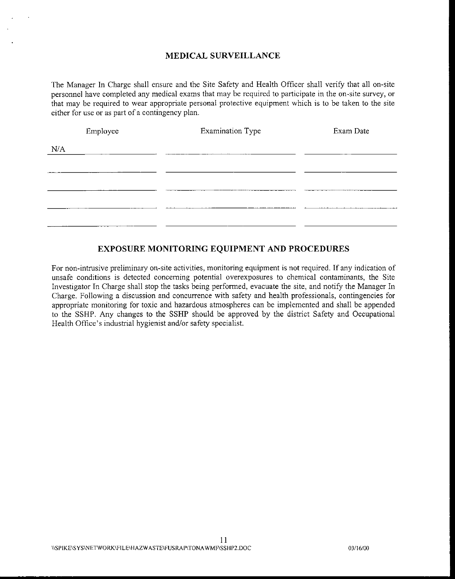# **MEDICAL SURVEILLANCE**

The Manager In Charge shall ensure and the Site Safety and Health Officer shall verify that all on-site personnel have completed any medical exams that may be required to participate in the on-site survey, or that may be required to wear appropriate personal protective equipment which is to be taken to the site either for use or as part of a contingency plan.

|     | Employee | <b>Examination Type</b> | Exam Date |
|-----|----------|-------------------------|-----------|
| N/A |          |                         |           |
|     |          |                         |           |
|     |          |                         |           |
|     |          |                         |           |
|     |          |                         |           |
|     |          |                         |           |

# **EXPOSURE MONITORING EQUIPMENT AND PROCEDURES**

**For** non-intrusive preliminary on-site activities, monitoring equipment is not required. If any indication of unsafe conditions is detected concerning potential overexposures to chemical contaminants, the Site Investigator In Charge shall stop the tasks being performed, evacuate the site, and notify the Manager In Charge. Following a discussion and concurrence with safety and health professionals, contingencies for appropriate monitoring for toxic and hazardous atmospheres can be implemented and shall be appended to the SSHP. Any changes to the SSHP should be approved by the district Safety and Occupational Health Office's industrial hygienist and/or safety specialist.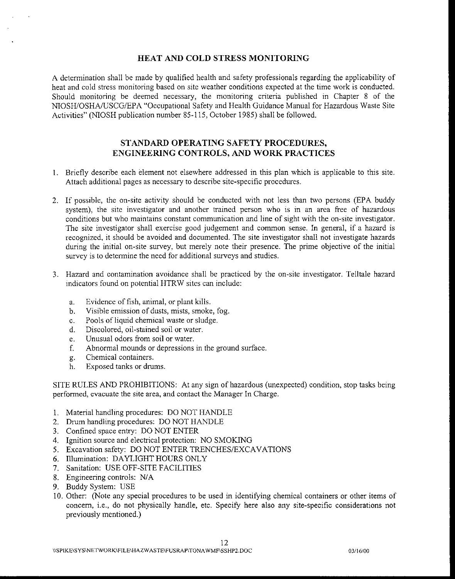#### **HEAT AND COLD STRESS MONITORING**

A determination shall be made by qualified health and safety professionals regarding the applicability of heat and cold stress monitoring based on site weather conditions expected at the time work is conducted. Should monitoring be deemed necessary, the monitoring criteria published in Chapter 8 of the NIOSH/OSHAIUSCG/EPA "Occupational Safety and Health Guidance Manual for Hazardous Waste Site Activities" (NIOSH publication number 85-115, October 1985) shall be followed.

# **STANDARD OPERATING SAFETY PROCEDURES, ENGINEERING CONTROLS, Al'ID WORK PRACTICES**

- I. Briefly describe each element not elsewhere addressed in this plan which is applicable to this site. Attach additional pages as necessary to describe site-specific procedures.
- 2. If possible, the on-site activity should be conducted with not less than two persons (EPA buddy system), the site investigator and another trained person who is in an area free of hazardous conditions but who maintains constant communication and line of sight with the on-site investigator. The site investigator shall exercise good judgement and common sense. In general, if a hazard is recognized, it should be avoided and documented. The site investigator shall not investigate hazards during the initial on-site survey, but merely note their presence. The prime objective of the initial survey is to determine the need for additional surveys and studies.
- 3. Hazard and contamination avoidance shall be practiced by the on-site investigator. Telltale hazard indicators found on potential HTRW sites can include:
	- a. Evidence of fish, animal, or plant kills.
	- b. Visible emission of dusts, mists, smoke, fog.
	- c. Pools of liquid chemical waste or sludge.
	- d. Discolored, oil-stained soil or water.
	- e. Unusual odors from soil or water.
	- f. Abnormal mounds or depressions in the ground surface.
	- g. Chemical containers.
	- h. Exposed tanks or drums.

SITE RULES AND PROHIBITIONS: At any sign of hazardous (unexpected) condition, stop tasks being performed, evacuate the site area, and contact the Manager In Charge.

- I. Material handling procedures: DO NOT HANDLE
- 2. Drum handling procedures: DO NOT HANDLE
- 3. Confined space entry: DO NOT ENTER
- 4. Ignition source and electrical protection: NO SMOKING
- 5. Excavation safety: DO NOT ENTER TRENCHES/EXCAVATIONS
- 6. Illumination: DAYLIGHT HOURS ONLY
- 7. Sanitation: USE OFF-SITE FACILITIES
- 8. Engineering controls: N/A
- 9. Buddy System: USE
- 10. Other: (Note any special procedures to be used in identifying chemical containers or other items of concern, i.e., do not physically handle, etc. Specify here also any site-specific considerations not previously mentioned.)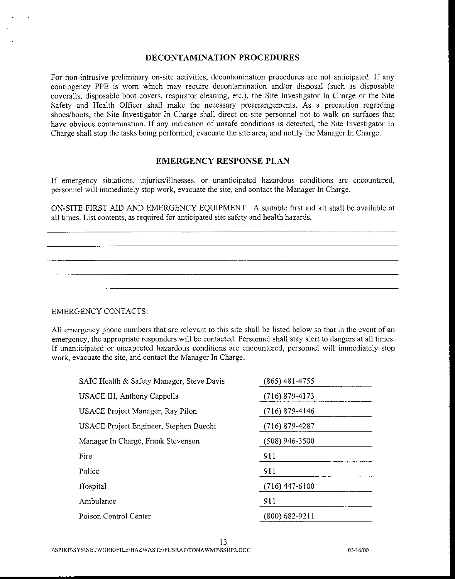#### **DECONTAMINATION PROCEDURES**

For non-intrusive preliminary on-site activities, decontamination procedures are not anticipated. If any contingency PPE is worn which may require decontamination and/or disposal (such as disposable coveralls, disposable boot covers, respirator cleaning, etc.), the Site Investigator In Charge or the Site Safety and Health Officer shall make the necessary prearrangements. As a precaution regarding shoes/boots, the Site Investigator In Charge shall direct on-site personnel not to walk on surfaces that have obvious contamination. If any indication of unsafe conditions is detected, the Site Investigator In Charge shall stop the tasks being performed, evacuate the site area, and notify the Manager In Charge.

#### **EMERGENCY RESPONSE PLAN**

If emergency situations, injuries/illnesses, or unanticipated hazardous conditions are encountered, personnel will immediately stop work, evacuate the site, and contact the Manager In Charge.

ON-SITE FIRST AID AND EMERGENCY EQUIPMENT: A suitable first aid kit shall be available at all times. List contents, as required for anticipated site safety and health hazards.

#### EMERGENCY CONTACTS:

All emergency phone numbers that are relevant to this site shall be listed below so that in the event of an emergency, the appropriate responders will be contacted. Personnel shall stay alert to dangers at all times. If unanticipated or unexpected hazardous conditions are encountered, personnel will immediately stop work, evacuate the site, and contact the Manager In Charge.

| SAIC Health & Safety Manager, Steve Davis | (865) 481-4755     |  |
|-------------------------------------------|--------------------|--|
| USACE IH, Anthony Cappella                | $(716) 879 - 4173$ |  |
| USACE Project Manager, Ray Pilon          | $(716)$ 879-4146   |  |
| USACE Project Engineer, Stephen Buechi    | (716) 879-4287     |  |
| Manager In Charge, Frank Stevenson        | (508) 946-3500     |  |
| Fire                                      | 911                |  |
| Police                                    | 911                |  |
| Hospital                                  | $(716)$ 447-6100   |  |
| Ambulance                                 | 911                |  |
| Poison Control Center                     | (800) 682-9211     |  |
|                                           |                    |  |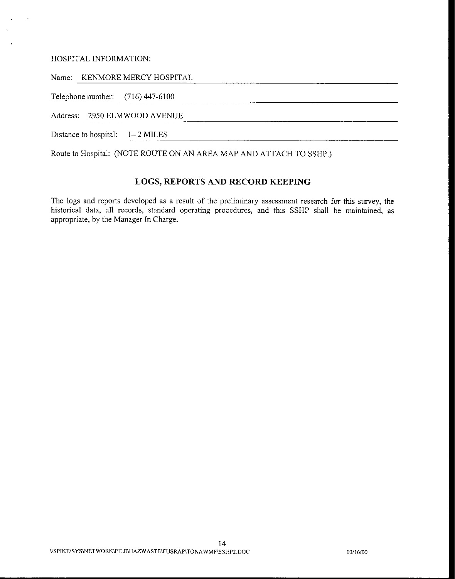#### HOSPITAL INFORMATION:

Name: KENMORE MERCY HOSPITAL

Telephone number:  $(716)$  447-6100

Address: 2950 ELMWOOD AVENUE

Distance to hospital:  $1-2$  MILES

Route to Hospital: (NOTE ROUTE ON AN AREA MAP AND ATTACH TO SSHP.)

# **LOGS, REPORTS AND RECORD KEEPING**

The logs and reports developed as a result of the preliminary assessment research for this survey, the historical data, all records, standard operating procedures, and this SSHP shall be maintained, as appropriate, by the Manager In Charge.